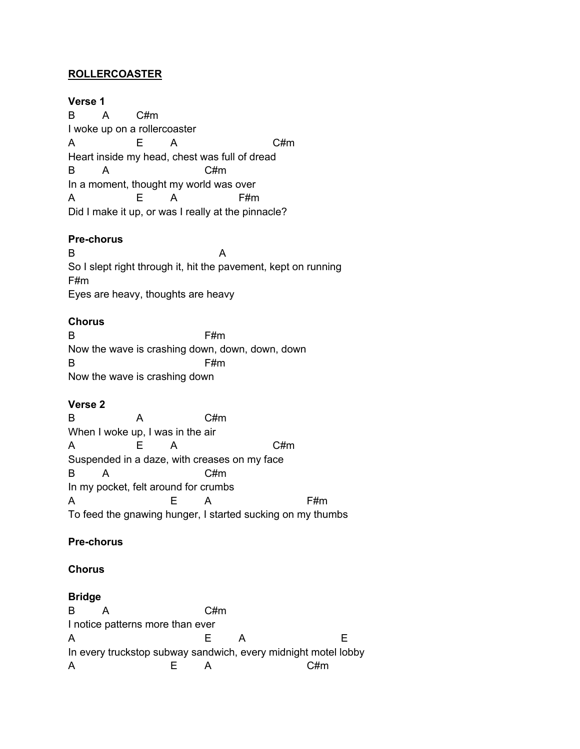### **ROLLERCOASTER**

**Verse 1** B A C#m I woke up on a rollercoaster A E A C#m Heart inside my head, chest was full of dread B A C#m In a moment, thought my world was over A E A F#m Did I make it up, or was I really at the pinnacle?

#### **Pre-chorus**

B A So I slept right through it, hit the pavement, kept on running F#m Eyes are heavy, thoughts are heavy

#### **Chorus**

B F#m Now the wave is crashing down, down, down, down B F#m Now the wave is crashing down

### **Verse 2**

B A C#m When I woke up, I was in the air A E A C#m Suspended in a daze, with creases on my face B A C#m In my pocket, felt around for crumbs A E A F#m To feed the gnawing hunger, I started sucking on my thumbs

# **Pre-chorus**

#### **Chorus**

#### **Bridge**

B A C#m I notice patterns more than ever A E A E In every truckstop subway sandwich, every midnight motel lobby A E A C#m